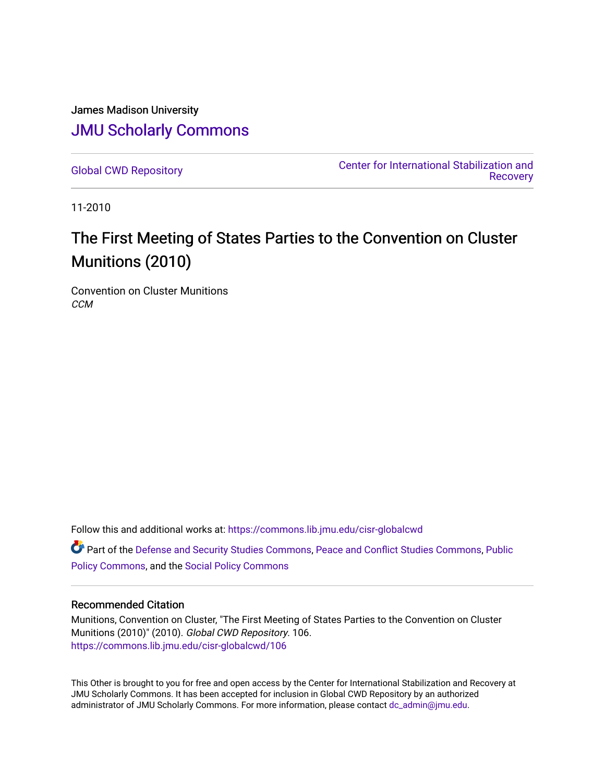James Madison University [JMU Scholarly Commons](https://commons.lib.jmu.edu/)

[Global CWD Repository](https://commons.lib.jmu.edu/cisr-globalcwd) [Center for International Stabilization and](https://commons.lib.jmu.edu/cisr)  **Recovery** 

11-2010

# The First Meeting of States Parties to the Convention on Cluster Munitions (2010)

Convention on Cluster Munitions **CCM** 

Follow this and additional works at: [https://commons.lib.jmu.edu/cisr-globalcwd](https://commons.lib.jmu.edu/cisr-globalcwd?utm_source=commons.lib.jmu.edu%2Fcisr-globalcwd%2F106&utm_medium=PDF&utm_campaign=PDFCoverPages)

Part of the [Defense and Security Studies Commons](http://network.bepress.com/hgg/discipline/394?utm_source=commons.lib.jmu.edu%2Fcisr-globalcwd%2F106&utm_medium=PDF&utm_campaign=PDFCoverPages), [Peace and Conflict Studies Commons](http://network.bepress.com/hgg/discipline/397?utm_source=commons.lib.jmu.edu%2Fcisr-globalcwd%2F106&utm_medium=PDF&utm_campaign=PDFCoverPages), [Public](http://network.bepress.com/hgg/discipline/400?utm_source=commons.lib.jmu.edu%2Fcisr-globalcwd%2F106&utm_medium=PDF&utm_campaign=PDFCoverPages) [Policy Commons](http://network.bepress.com/hgg/discipline/400?utm_source=commons.lib.jmu.edu%2Fcisr-globalcwd%2F106&utm_medium=PDF&utm_campaign=PDFCoverPages), and the [Social Policy Commons](http://network.bepress.com/hgg/discipline/1030?utm_source=commons.lib.jmu.edu%2Fcisr-globalcwd%2F106&utm_medium=PDF&utm_campaign=PDFCoverPages)

#### Recommended Citation

Munitions, Convention on Cluster, "The First Meeting of States Parties to the Convention on Cluster Munitions (2010)" (2010). Global CWD Repository. 106. [https://commons.lib.jmu.edu/cisr-globalcwd/106](https://commons.lib.jmu.edu/cisr-globalcwd/106?utm_source=commons.lib.jmu.edu%2Fcisr-globalcwd%2F106&utm_medium=PDF&utm_campaign=PDFCoverPages)

This Other is brought to you for free and open access by the Center for International Stabilization and Recovery at JMU Scholarly Commons. It has been accepted for inclusion in Global CWD Repository by an authorized administrator of JMU Scholarly Commons. For more information, please contact [dc\\_admin@jmu.edu](mailto:dc_admin@jmu.edu).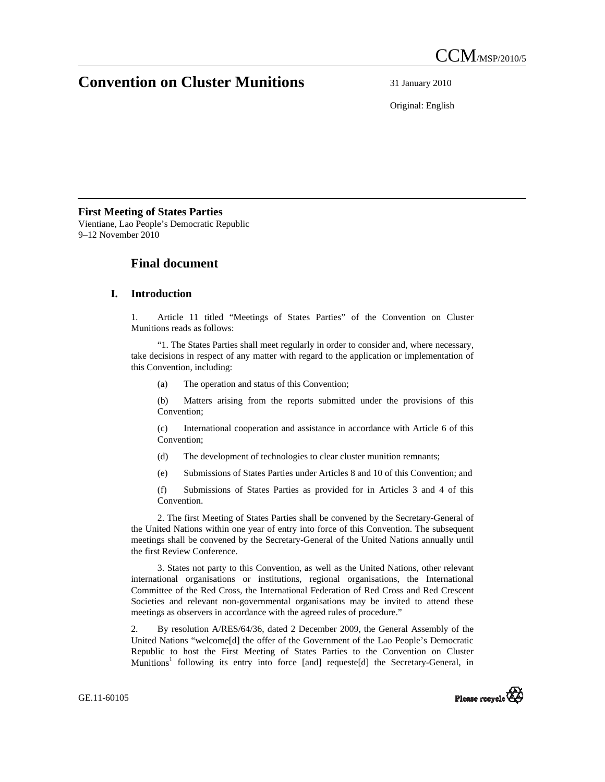# **Convention on Cluster Munitions** 31 January 2010

Original: English

#### **First Meeting of States Parties**

Vientiane, Lao People's Democratic Republic 9–12 November 2010

### **Final document**

#### **I. Introduction**

1. Article 11 titled "Meetings of States Parties" of the Convention on Cluster Munitions reads as follows:

"1. The States Parties shall meet regularly in order to consider and, where necessary, take decisions in respect of any matter with regard to the application or implementation of this Convention, including:

(a) The operation and status of this Convention;

(b) Matters arising from the reports submitted under the provisions of this Convention;

(c) International cooperation and assistance in accordance with Article 6 of this Convention;

- (d) The development of technologies to clear cluster munition remnants;
- (e) Submissions of States Parties under Articles 8 and 10 of this Convention; and

(f) Submissions of States Parties as provided for in Articles 3 and 4 of this Convention.

2. The first Meeting of States Parties shall be convened by the Secretary-General of the United Nations within one year of entry into force of this Convention. The subsequent meetings shall be convened by the Secretary-General of the United Nations annually until the first Review Conference.

3. States not party to this Convention, as well as the United Nations, other relevant international organisations or institutions, regional organisations, the International Committee of the Red Cross, the International Federation of Red Cross and Red Crescent Societies and relevant non-governmental organisations may be invited to attend these meetings as observers in accordance with the agreed rules of procedure."

2. By resolution A/RES/64/36, dated 2 December 2009, the General Assembly of the United Nations "welcome[d] the offer of the Government of the Lao People's Democratic Republic to host the First Meeting of States Parties to the Convention on Cluster Munitions<sup>1</sup> following its entry into force [and] requeste[d] the Secretary-General, in

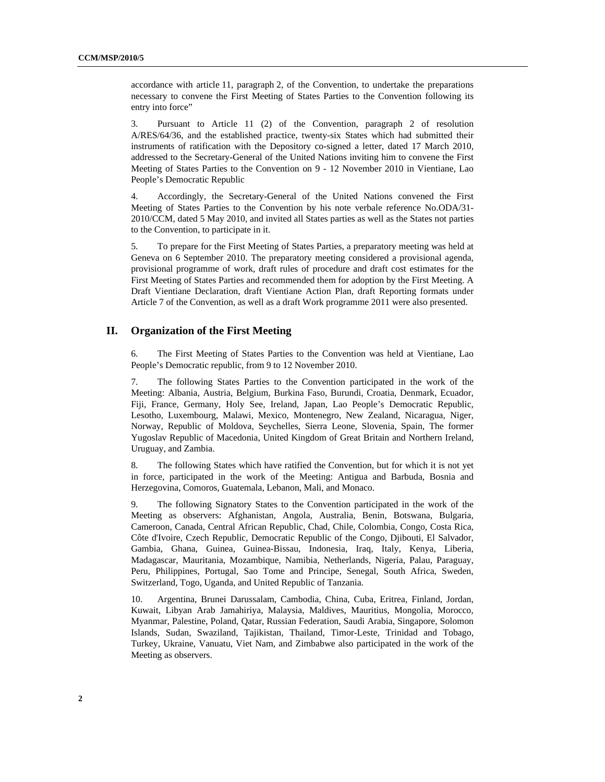accordance with article 11, paragraph 2, of the Convention, to undertake the preparations necessary to convene the First Meeting of States Parties to the Convention following its entry into force"

3. Pursuant to Article 11 (2) of the Convention, paragraph 2 of resolution A/RES/64/36, and the established practice, twenty-six States which had submitted their instruments of ratification with the Depository co-signed a letter, dated 17 March 2010, addressed to the Secretary-General of the United Nations inviting him to convene the First Meeting of States Parties to the Convention on 9 - 12 November 2010 in Vientiane, Lao People's Democratic Republic

4. Accordingly, the Secretary-General of the United Nations convened the First Meeting of States Parties to the Convention by his note verbale reference No.ODA/31- 2010/CCM, dated 5 May 2010, and invited all States parties as well as the States not parties to the Convention, to participate in it.

5. To prepare for the First Meeting of States Parties, a preparatory meeting was held at Geneva on 6 September 2010. The preparatory meeting considered a provisional agenda, provisional programme of work, draft rules of procedure and draft cost estimates for the First Meeting of States Parties and recommended them for adoption by the First Meeting. A Draft Vientiane Declaration, draft Vientiane Action Plan, draft Reporting formats under Article 7 of the Convention, as well as a draft Work programme 2011 were also presented.

#### **II. Organization of the First Meeting**

6. The First Meeting of States Parties to the Convention was held at Vientiane, Lao People's Democratic republic, from 9 to 12 November 2010.

7. The following States Parties to the Convention participated in the work of the Meeting: Albania, Austria, Belgium, Burkina Faso, Burundi, Croatia, Denmark, Ecuador, Fiji, France, Germany, Holy See, Ireland, Japan, Lao People's Democratic Republic, Lesotho, Luxembourg, Malawi, Mexico, Montenegro, New Zealand, Nicaragua, Niger, Norway, Republic of Moldova, Seychelles, Sierra Leone, Slovenia, Spain, The former Yugoslav Republic of Macedonia, United Kingdom of Great Britain and Northern Ireland, Uruguay, and Zambia.

8. The following States which have ratified the Convention, but for which it is not yet in force, participated in the work of the Meeting: Antigua and Barbuda, Bosnia and Herzegovina, Comoros, Guatemala, Lebanon, Mali, and Monaco.

9. The following Signatory States to the Convention participated in the work of the Meeting as observers: Afghanistan, Angola, Australia, Benin, Botswana, Bulgaria, Cameroon, Canada, Central African Republic, Chad, Chile, Colombia, Congo, Costa Rica, Côte d'Ivoire, Czech Republic, Democratic Republic of the Congo, Djibouti, El Salvador, Gambia, Ghana, Guinea, Guinea-Bissau, Indonesia, Iraq, Italy, Kenya, Liberia, Madagascar, Mauritania, Mozambique, Namibia, Netherlands, Nigeria, Palau, Paraguay, Peru, Philippines, Portugal, Sao Tome and Principe, Senegal, South Africa, Sweden, Switzerland, Togo, Uganda, and United Republic of Tanzania.

10. Argentina, Brunei Darussalam, Cambodia, China, Cuba, Eritrea, Finland, Jordan, Kuwait, Libyan Arab Jamahiriya, Malaysia, Maldives, Mauritius, Mongolia, Morocco, Myanmar, Palestine, Poland, Qatar, Russian Federation, Saudi Arabia, Singapore, Solomon Islands, Sudan, Swaziland, Tajikistan, Thailand, Timor-Leste, Trinidad and Tobago, Turkey, Ukraine, Vanuatu, Viet Nam, and Zimbabwe also participated in the work of the Meeting as observers.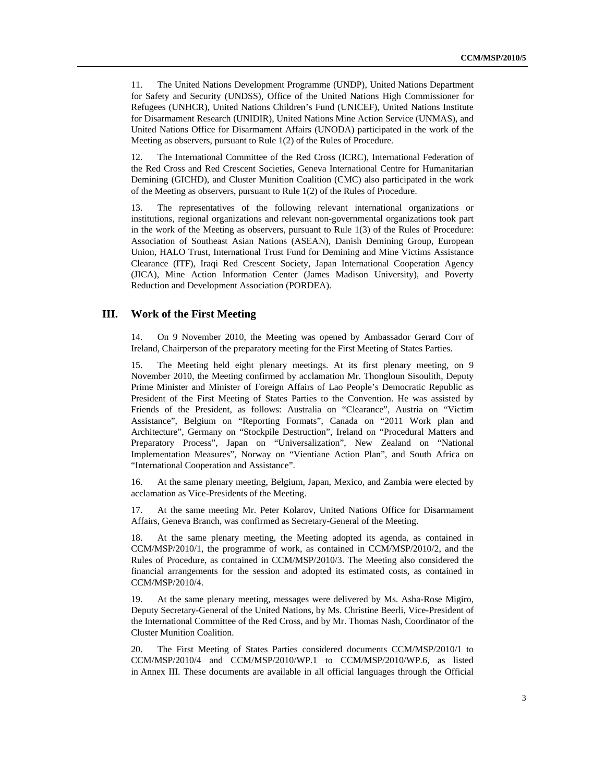11. The United Nations Development Programme (UNDP), United Nations Department for Safety and Security (UNDSS), Office of the United Nations High Commissioner for Refugees (UNHCR), United Nations Children's Fund (UNICEF), United Nations Institute for Disarmament Research (UNIDIR), United Nations Mine Action Service (UNMAS), and United Nations Office for Disarmament Affairs (UNODA) participated in the work of the Meeting as observers, pursuant to Rule 1(2) of the Rules of Procedure.

12. The International Committee of the Red Cross (ICRC), International Federation of the Red Cross and Red Crescent Societies, Geneva International Centre for Humanitarian Demining (GICHD), and Cluster Munition Coalition (CMC) also participated in the work of the Meeting as observers, pursuant to Rule 1(2) of the Rules of Procedure.

13. The representatives of the following relevant international organizations or institutions, regional organizations and relevant non-governmental organizations took part in the work of the Meeting as observers, pursuant to Rule 1(3) of the Rules of Procedure: Association of Southeast Asian Nations (ASEAN), Danish Demining Group, European Union, HALO Trust, International Trust Fund for Demining and Mine Victims Assistance Clearance (ITF), Iraqi Red Crescent Society, Japan International Cooperation Agency (JICA), Mine Action Information Center (James Madison University), and Poverty Reduction and Development Association (PORDEA).

#### **III. Work of the First Meeting**

14. On 9 November 2010, the Meeting was opened by Ambassador Gerard Corr of Ireland, Chairperson of the preparatory meeting for the First Meeting of States Parties.

15. The Meeting held eight plenary meetings. At its first plenary meeting, on 9 November 2010, the Meeting confirmed by acclamation Mr. Thongloun Sisoulith, Deputy Prime Minister and Minister of Foreign Affairs of Lao People's Democratic Republic as President of the First Meeting of States Parties to the Convention. He was assisted by Friends of the President, as follows: Australia on "Clearance", Austria on "Victim Assistance", Belgium on "Reporting Formats", Canada on "2011 Work plan and Architecture", Germany on "Stockpile Destruction", Ireland on "Procedural Matters and Preparatory Process", Japan on "Universalization", New Zealand on "National Implementation Measures", Norway on "Vientiane Action Plan", and South Africa on "International Cooperation and Assistance".

16. At the same plenary meeting, Belgium, Japan, Mexico, and Zambia were elected by acclamation as Vice-Presidents of the Meeting.

17. At the same meeting Mr. Peter Kolarov, United Nations Office for Disarmament Affairs, Geneva Branch, was confirmed as Secretary-General of the Meeting.

18. At the same plenary meeting, the Meeting adopted its agenda, as contained in CCM/MSP/2010/1, the programme of work, as contained in CCM/MSP/2010/2, and the Rules of Procedure, as contained in CCM/MSP/2010/3. The Meeting also considered the financial arrangements for the session and adopted its estimated costs, as contained in CCM/MSP/2010/4.

19. At the same plenary meeting, messages were delivered by Ms. Asha-Rose Migiro, Deputy Secretary-General of the United Nations, by Ms. Christine Beerli, Vice-President of the International Committee of the Red Cross, and by Mr. Thomas Nash, Coordinator of the Cluster Munition Coalition.

20. The First Meeting of States Parties considered documents CCM/MSP/2010/1 to CCM/MSP/2010/4 and CCM/MSP/2010/WP.1 to CCM/MSP/2010/WP.6, as listed in Annex III. These documents are available in all official languages through the Official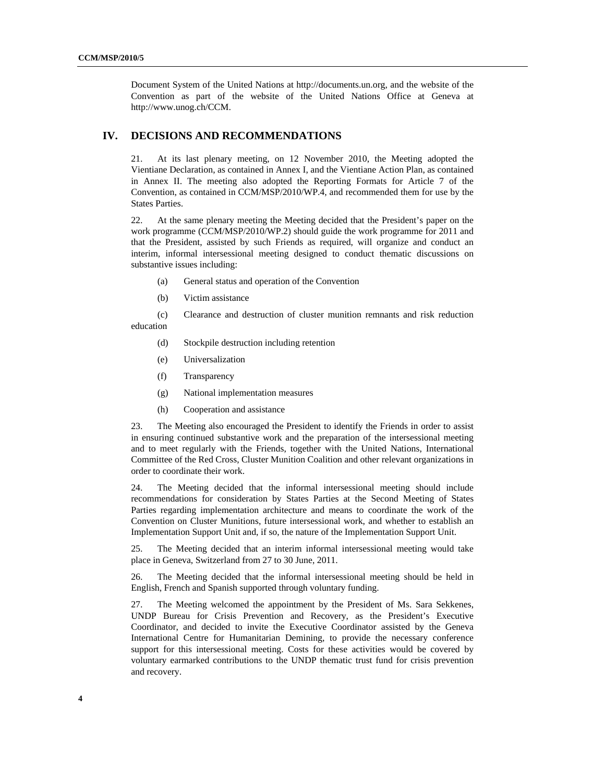Document System of the United Nations at http://documents.un.org, and the website of the Convention as part of the website of the United Nations Office at Geneva at http://www.unog.ch/CCM.

#### **IV. DECISIONS AND RECOMMENDATIONS**

21. At its last plenary meeting, on 12 November 2010, the Meeting adopted the Vientiane Declaration, as contained in Annex I, and the Vientiane Action Plan, as contained in Annex II. The meeting also adopted the Reporting Formats for Article 7 of the Convention, as contained in CCM/MSP/2010/WP.4, and recommended them for use by the States Parties.

22. At the same plenary meeting the Meeting decided that the President's paper on the work programme (CCM/MSP/2010/WP.2) should guide the work programme for 2011 and that the President, assisted by such Friends as required, will organize and conduct an interim, informal intersessional meeting designed to conduct thematic discussions on substantive issues including:

- (a) General status and operation of the Convention
- (b) Victim assistance

(c) Clearance and destruction of cluster munition remnants and risk reduction education

- (d) Stockpile destruction including retention
- (e) Universalization
- (f) Transparency
- (g) National implementation measures
- (h) Cooperation and assistance

23. The Meeting also encouraged the President to identify the Friends in order to assist in ensuring continued substantive work and the preparation of the intersessional meeting and to meet regularly with the Friends, together with the United Nations, International Committee of the Red Cross, Cluster Munition Coalition and other relevant organizations in order to coordinate their work.

24. The Meeting decided that the informal intersessional meeting should include recommendations for consideration by States Parties at the Second Meeting of States Parties regarding implementation architecture and means to coordinate the work of the Convention on Cluster Munitions, future intersessional work, and whether to establish an Implementation Support Unit and, if so, the nature of the Implementation Support Unit.

25. The Meeting decided that an interim informal intersessional meeting would take place in Geneva, Switzerland from 27 to 30 June, 2011.

26. The Meeting decided that the informal intersessional meeting should be held in English, French and Spanish supported through voluntary funding.

27. The Meeting welcomed the appointment by the President of Ms. Sara Sekkenes, UNDP Bureau for Crisis Prevention and Recovery, as the President's Executive Coordinator, and decided to invite the Executive Coordinator assisted by the Geneva International Centre for Humanitarian Demining, to provide the necessary conference support for this intersessional meeting. Costs for these activities would be covered by voluntary earmarked contributions to the UNDP thematic trust fund for crisis prevention and recovery.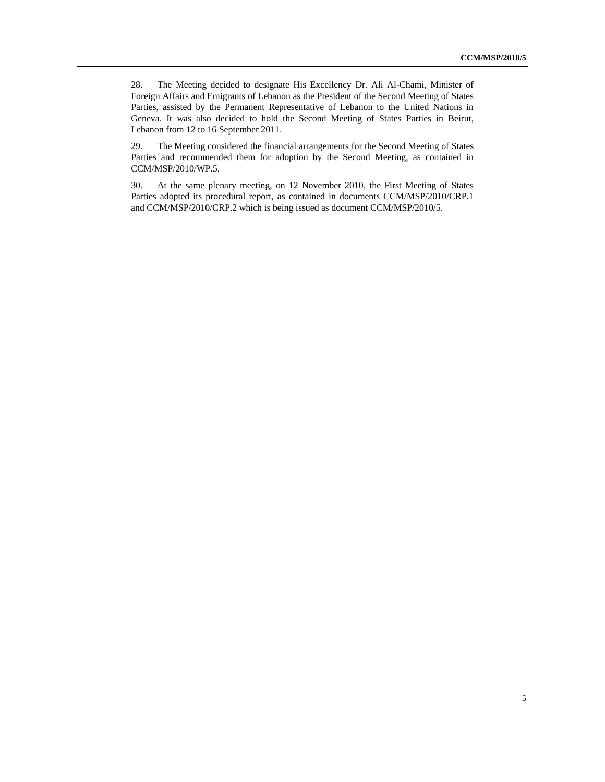28. The Meeting decided to designate His Excellency Dr. Ali Al-Chami, Minister of Foreign Affairs and Emigrants of Lebanon as the President of the Second Meeting of States Parties, assisted by the Permanent Representative of Lebanon to the United Nations in Geneva. It was also decided to hold the Second Meeting of States Parties in Beirut, Lebanon from 12 to 16 September 2011.

29. The Meeting considered the financial arrangements for the Second Meeting of States Parties and recommended them for adoption by the Second Meeting, as contained in CCM/MSP/2010/WP.5.

30. At the same plenary meeting, on 12 November 2010, the First Meeting of States Parties adopted its procedural report, as contained in documents CCM/MSP/2010/CRP.1 and CCM/MSP/2010/CRP.2 which is being issued as document CCM/MSP/2010/5.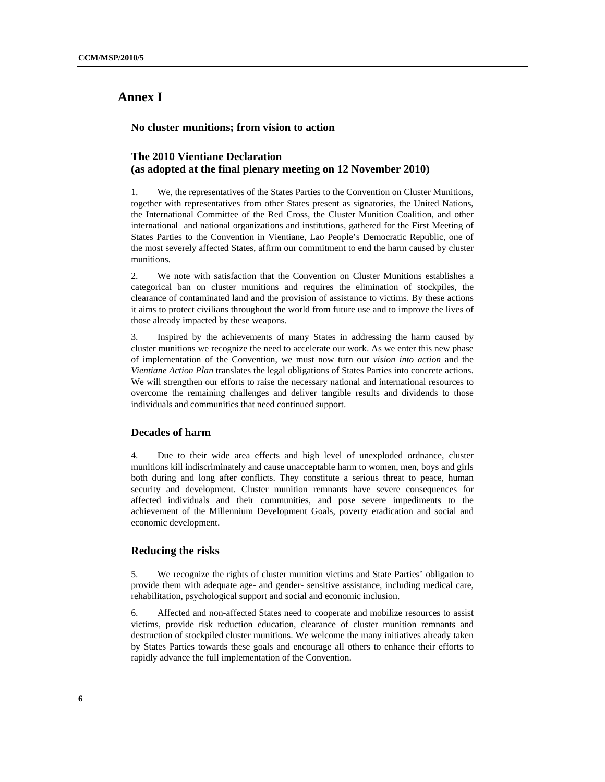# **Annex I**

 **No cluster munitions; from vision to action** 

#### **The 2010 Vientiane Declaration (as adopted at the final plenary meeting on 12 November 2010)**

1. We, the representatives of the States Parties to the Convention on Cluster Munitions, together with representatives from other States present as signatories, the United Nations, the International Committee of the Red Cross, the Cluster Munition Coalition, and other international and national organizations and institutions, gathered for the First Meeting of States Parties to the Convention in Vientiane, Lao People's Democratic Republic, one of the most severely affected States, affirm our commitment to end the harm caused by cluster munitions.

2. We note with satisfaction that the Convention on Cluster Munitions establishes a categorical ban on cluster munitions and requires the elimination of stockpiles, the clearance of contaminated land and the provision of assistance to victims. By these actions it aims to protect civilians throughout the world from future use and to improve the lives of those already impacted by these weapons.

3. Inspired by the achievements of many States in addressing the harm caused by cluster munitions we recognize the need to accelerate our work. As we enter this new phase of implementation of the Convention, we must now turn our *vision into action* and the *Vientiane Action Plan* translates the legal obligations of States Parties into concrete actions. We will strengthen our efforts to raise the necessary national and international resources to overcome the remaining challenges and deliver tangible results and dividends to those individuals and communities that need continued support.

#### **Decades of harm**

4. Due to their wide area effects and high level of unexploded ordnance, cluster munitions kill indiscriminately and cause unacceptable harm to women, men, boys and girls both during and long after conflicts. They constitute a serious threat to peace, human security and development. Cluster munition remnants have severe consequences for affected individuals and their communities, and pose severe impediments to the achievement of the Millennium Development Goals, poverty eradication and social and economic development.

#### **Reducing the risks**

5. We recognize the rights of cluster munition victims and State Parties' obligation to provide them with adequate age- and gender- sensitive assistance, including medical care, rehabilitation, psychological support and social and economic inclusion.

6. Affected and non-affected States need to cooperate and mobilize resources to assist victims, provide risk reduction education, clearance of cluster munition remnants and destruction of stockpiled cluster munitions. We welcome the many initiatives already taken by States Parties towards these goals and encourage all others to enhance their efforts to rapidly advance the full implementation of the Convention.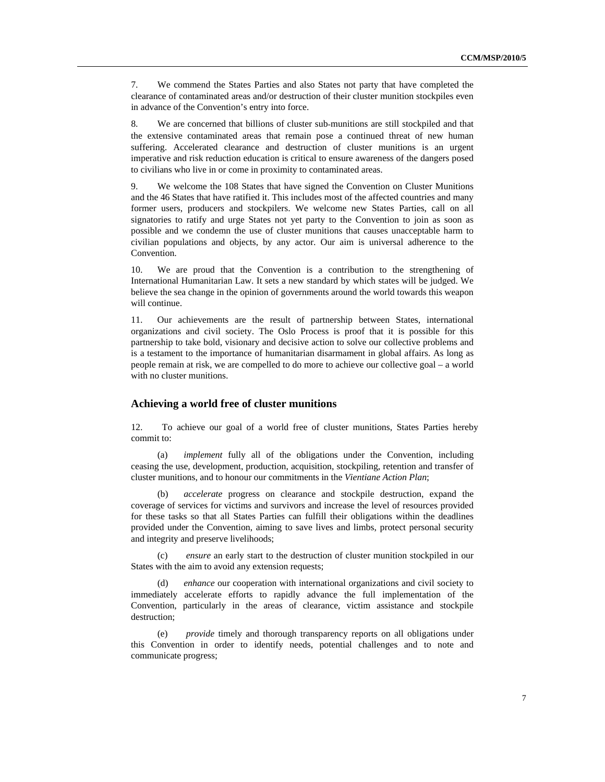7. We commend the States Parties and also States not party that have completed the clearance of contaminated areas and/or destruction of their cluster munition stockpiles even in advance of the Convention's entry into force.

8. We are concerned that billions of cluster sub-munitions are still stockpiled and that the extensive contaminated areas that remain pose a continued threat of new human suffering. Accelerated clearance and destruction of cluster munitions is an urgent imperative and risk reduction education is critical to ensure awareness of the dangers posed to civilians who live in or come in proximity to contaminated areas.

9. We welcome the 108 States that have signed the Convention on Cluster Munitions and the 46 States that have ratified it. This includes most of the affected countries and many former users, producers and stockpilers. We welcome new States Parties, call on all signatories to ratify and urge States not yet party to the Convention to join as soon as possible and we condemn the use of cluster munitions that causes unacceptable harm to civilian populations and objects, by any actor. Our aim is universal adherence to the Convention.

10. We are proud that the Convention is a contribution to the strengthening of International Humanitarian Law. It sets a new standard by which states will be judged. We believe the sea change in the opinion of governments around the world towards this weapon will continue.

11. Our achievements are the result of partnership between States, international organizations and civil society. The Oslo Process is proof that it is possible for this partnership to take bold, visionary and decisive action to solve our collective problems and is a testament to the importance of humanitarian disarmament in global affairs. As long as people remain at risk, we are compelled to do more to achieve our collective goal – a world with no cluster munitions.

#### **Achieving a world free of cluster munitions**

12. To achieve our goal of a world free of cluster munitions, States Parties hereby commit to:

(a) *implement* fully all of the obligations under the Convention, including ceasing the use, development, production, acquisition, stockpiling, retention and transfer of cluster munitions, and to honour our commitments in the *Vientiane Action Plan*;

(b) *accelerate* progress on clearance and stockpile destruction, expand the coverage of services for victims and survivors and increase the level of resources provided for these tasks so that all States Parties can fulfill their obligations within the deadlines provided under the Convention, aiming to save lives and limbs, protect personal security and integrity and preserve livelihoods;

(c) *ensure* an early start to the destruction of cluster munition stockpiled in our States with the aim to avoid any extension requests;

(d) *enhance* our cooperation with international organizations and civil society to immediately accelerate efforts to rapidly advance the full implementation of the Convention, particularly in the areas of clearance, victim assistance and stockpile destruction;

(e) *provide* timely and thorough transparency reports on all obligations under this Convention in order to identify needs, potential challenges and to note and communicate progress;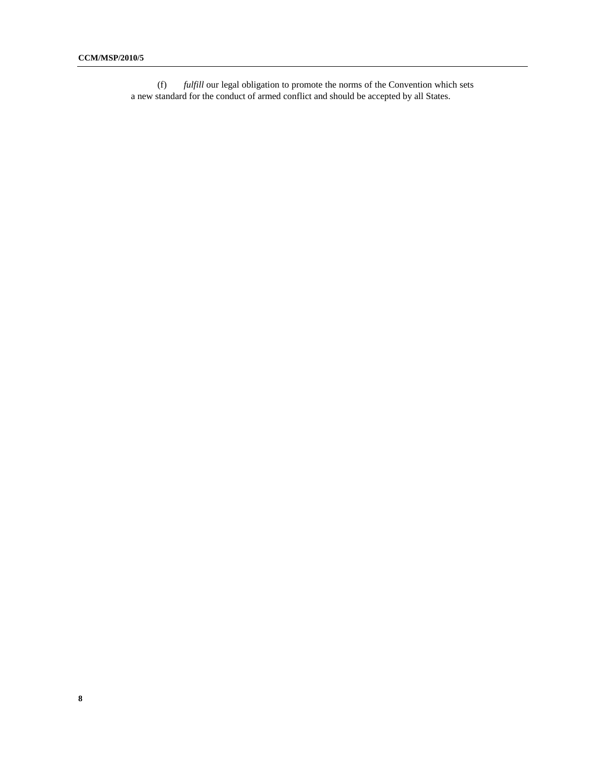(f) *fulfill* our legal obligation to promote the norms of the Convention which sets a new standard for the conduct of armed conflict and should be accepted by all States.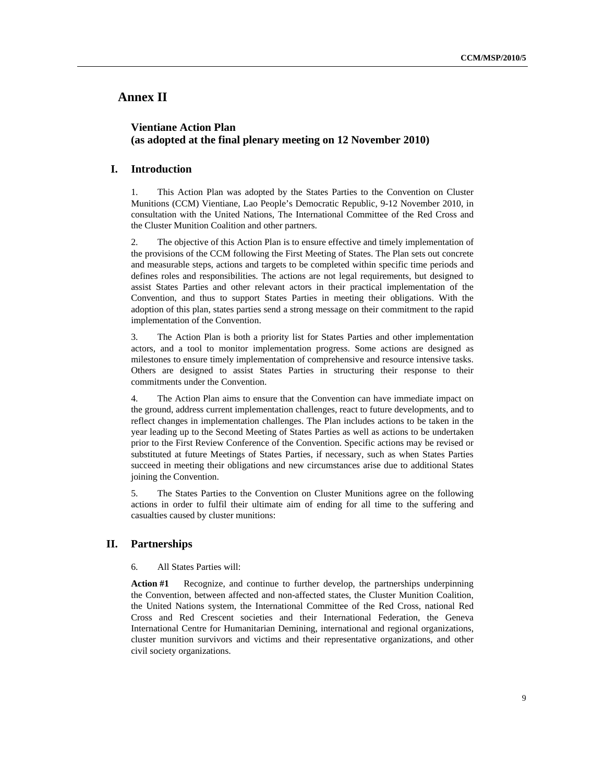### **Annex II**

#### **Vientiane Action Plan (as adopted at the final plenary meeting on 12 November 2010)**

#### **I. Introduction**

1. This Action Plan was adopted by the States Parties to the Convention on Cluster Munitions (CCM) Vientiane, Lao People's Democratic Republic, 9-12 November 2010, in consultation with the United Nations, The International Committee of the Red Cross and the Cluster Munition Coalition and other partners.

2. The objective of this Action Plan is to ensure effective and timely implementation of the provisions of the CCM following the First Meeting of States. The Plan sets out concrete and measurable steps, actions and targets to be completed within specific time periods and defines roles and responsibilities. The actions are not legal requirements, but designed to assist States Parties and other relevant actors in their practical implementation of the Convention, and thus to support States Parties in meeting their obligations. With the adoption of this plan, states parties send a strong message on their commitment to the rapid implementation of the Convention.

3. The Action Plan is both a priority list for States Parties and other implementation actors, and a tool to monitor implementation progress. Some actions are designed as milestones to ensure timely implementation of comprehensive and resource intensive tasks. Others are designed to assist States Parties in structuring their response to their commitments under the Convention.

4. The Action Plan aims to ensure that the Convention can have immediate impact on the ground, address current implementation challenges, react to future developments, and to reflect changes in implementation challenges. The Plan includes actions to be taken in the year leading up to the Second Meeting of States Parties as well as actions to be undertaken prior to the First Review Conference of the Convention. Specific actions may be revised or substituted at future Meetings of States Parties, if necessary, such as when States Parties succeed in meeting their obligations and new circumstances arise due to additional States joining the Convention.

5. The States Parties to the Convention on Cluster Munitions agree on the following actions in order to fulfil their ultimate aim of ending for all time to the suffering and casualties caused by cluster munitions:

#### **II. Partnerships**

#### 6. All States Parties will:

**Action #1** Recognize, and continue to further develop, the partnerships underpinning the Convention, between affected and non-affected states, the Cluster Munition Coalition, the United Nations system, the International Committee of the Red Cross, national Red Cross and Red Crescent societies and their International Federation, the Geneva International Centre for Humanitarian Demining, international and regional organizations, cluster munition survivors and victims and their representative organizations, and other civil society organizations.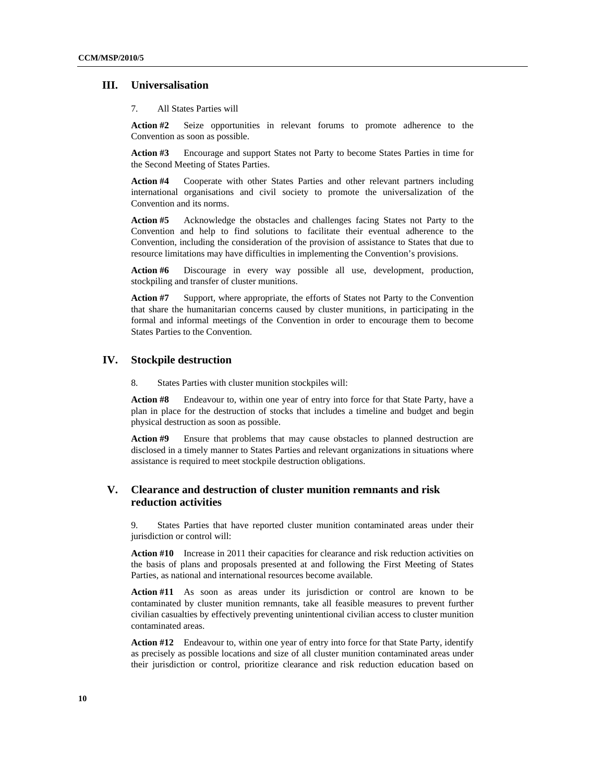#### **III. Universalisation**

#### 7. All States Parties will

**Action #2** Seize opportunities in relevant forums to promote adherence to the Convention as soon as possible.

**Action #3** Encourage and support States not Party to become States Parties in time for the Second Meeting of States Parties.

**Action #4** Cooperate with other States Parties and other relevant partners including international organisations and civil society to promote the universalization of the Convention and its norms.

**Action #5** Acknowledge the obstacles and challenges facing States not Party to the Convention and help to find solutions to facilitate their eventual adherence to the Convention, including the consideration of the provision of assistance to States that due to resource limitations may have difficulties in implementing the Convention's provisions.

**Action #6** Discourage in every way possible all use, development, production, stockpiling and transfer of cluster munitions.

Action #7 Support, where appropriate, the efforts of States not Party to the Convention that share the humanitarian concerns caused by cluster munitions, in participating in the formal and informal meetings of the Convention in order to encourage them to become States Parties to the Convention.

#### **IV. Stockpile destruction**

8. States Parties with cluster munition stockpiles will:

**Action #8** Endeavour to, within one year of entry into force for that State Party, have a plan in place for the destruction of stocks that includes a timeline and budget and begin physical destruction as soon as possible.

**Action #9** Ensure that problems that may cause obstacles to planned destruction are disclosed in a timely manner to States Parties and relevant organizations in situations where assistance is required to meet stockpile destruction obligations.

#### **V. Clearance and destruction of cluster munition remnants and risk reduction activities**

9. States Parties that have reported cluster munition contaminated areas under their jurisdiction or control will:

Action #10 Increase in 2011 their capacities for clearance and risk reduction activities on the basis of plans and proposals presented at and following the First Meeting of States Parties, as national and international resources become available*.* 

**Action #11** As soon as areas under its jurisdiction or control are known to be contaminated by cluster munition remnants, take all feasible measures to prevent further civilian casualties by effectively preventing unintentional civilian access to cluster munition contaminated areas.

**Action #12** Endeavour to, within one year of entry into force for that State Party, identify as precisely as possible locations and size of all cluster munition contaminated areas under their jurisdiction or control, prioritize clearance and risk reduction education based on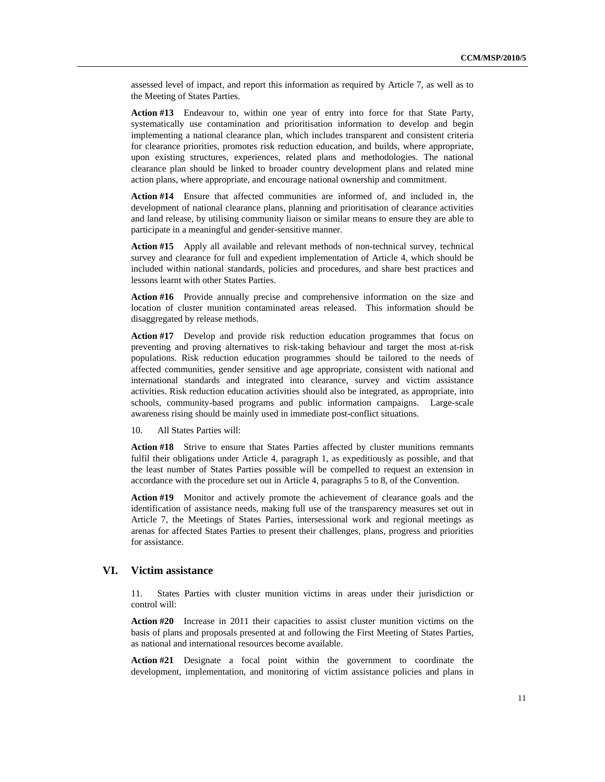assessed level of impact, and report this information as required by Article 7, as well as to the Meeting of States Parties.

**Action #13** Endeavour to, within one year of entry into force for that State Party, systematically use contamination and prioritisation information to develop and begin implementing a national clearance plan, which includes transparent and consistent criteria for clearance priorities, promotes risk reduction education, and builds, where appropriate, upon existing structures, experiences, related plans and methodologies. The national clearance plan should be linked to broader country development plans and related mine action plans, where appropriate, and encourage national ownership and commitment.

**Action #14** Ensure that affected communities are informed of, and included in, the development of national clearance plans, planning and prioritisation of clearance activities and land release, by utilising community liaison or similar means to ensure they are able to participate in a meaningful and gender-sensitive manner.

**Action #15** Apply all available and relevant methods of non-technical survey, technical survey and clearance for full and expedient implementation of Article 4, which should be included within national standards, policies and procedures, and share best practices and lessons learnt with other States Parties.

**Action #16** Provide annually precise and comprehensive information on the size and location of cluster munition contaminated areas released. This information should be disaggregated by release methods.

**Action #17** Develop and provide risk reduction education programmes that focus on preventing and proving alternatives to risk-taking behaviour and target the most at-risk populations. Risk reduction education programmes should be tailored to the needs of affected communities, gender sensitive and age appropriate, consistent with national and international standards and integrated into clearance, survey and victim assistance activities. Risk reduction education activities should also be integrated, as appropriate, into schools, community-based programs and public information campaigns. Large-scale awareness rising should be mainly used in immediate post-conflict situations.

10. All States Parties will:

**Action #18** Strive to ensure that States Parties affected by cluster munitions remnants fulfil their obligations under Article 4, paragraph 1, as expeditiously as possible, and that the least number of States Parties possible will be compelled to request an extension in accordance with the procedure set out in Article 4, paragraphs 5 to 8, of the Convention.

**Action #19** Monitor and actively promote the achievement of clearance goals and the identification of assistance needs, making full use of the transparency measures set out in Article 7, the Meetings of States Parties, intersessional work and regional meetings as arenas for affected States Parties to present their challenges, plans, progress and priorities for assistance.

#### **VI. Victim assistance**

11. States Parties with cluster munition victims in areas under their jurisdiction or control will:

**Action #20** Increase in 2011 their capacities to assist cluster munition victims on the basis of plans and proposals presented at and following the First Meeting of States Parties, as national and international resources become available.

**Action #21** Designate a focal point within the government to coordinate the development, implementation, and monitoring of victim assistance policies and plans in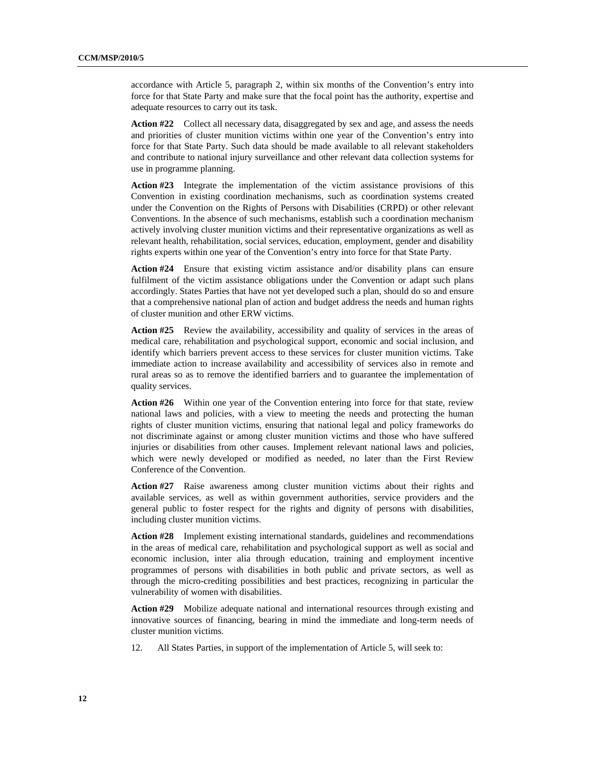accordance with Article 5, paragraph 2, within six months of the Convention's entry into force for that State Party and make sure that the focal point has the authority, expertise and adequate resources to carry out its task.

**Action #22** Collect all necessary data, disaggregated by sex and age, and assess the needs and priorities of cluster munition victims within one year of the Convention's entry into force for that State Party. Such data should be made available to all relevant stakeholders and contribute to national injury surveillance and other relevant data collection systems for use in programme planning.

**Action #23** Integrate the implementation of the victim assistance provisions of this Convention in existing coordination mechanisms, such as coordination systems created under the Convention on the Rights of Persons with Disabilities (CRPD) or other relevant Conventions. In the absence of such mechanisms, establish such a coordination mechanism actively involving cluster munition victims and their representative organizations as well as relevant health, rehabilitation, social services, education, employment, gender and disability rights experts within one year of the Convention's entry into force for that State Party.

**Action #24** Ensure that existing victim assistance and/or disability plans can ensure fulfilment of the victim assistance obligations under the Convention or adapt such plans accordingly. States Parties that have not yet developed such a plan, should do so and ensure that a comprehensive national plan of action and budget address the needs and human rights of cluster munition and other ERW victims.

**Action #25** Review the availability, accessibility and quality of services in the areas of medical care, rehabilitation and psychological support, economic and social inclusion, and identify which barriers prevent access to these services for cluster munition victims. Take immediate action to increase availability and accessibility of services also in remote and rural areas so as to remove the identified barriers and to guarantee the implementation of quality services.

**Action #26** Within one year of the Convention entering into force for that state, review national laws and policies, with a view to meeting the needs and protecting the human rights of cluster munition victims, ensuring that national legal and policy frameworks do not discriminate against or among cluster munition victims and those who have suffered injuries or disabilities from other causes. Implement relevant national laws and policies, which were newly developed or modified as needed, no later than the First Review Conference of the Convention.

**Action #27** Raise awareness among cluster munition victims about their rights and available services, as well as within government authorities, service providers and the general public to foster respect for the rights and dignity of persons with disabilities, including cluster munition victims.

**Action #28** Implement existing international standards, guidelines and recommendations in the areas of medical care, rehabilitation and psychological support as well as social and economic inclusion, inter alia through education, training and employment incentive programmes of persons with disabilities in both public and private sectors, as well as through the micro-crediting possibilities and best practices, recognizing in particular the vulnerability of women with disabilities.

**Action #29** Mobilize adequate national and international resources through existing and innovative sources of financing, bearing in mind the immediate and long-term needs of cluster munition victims.

12. All States Parties, in support of the implementation of Article 5, will seek to: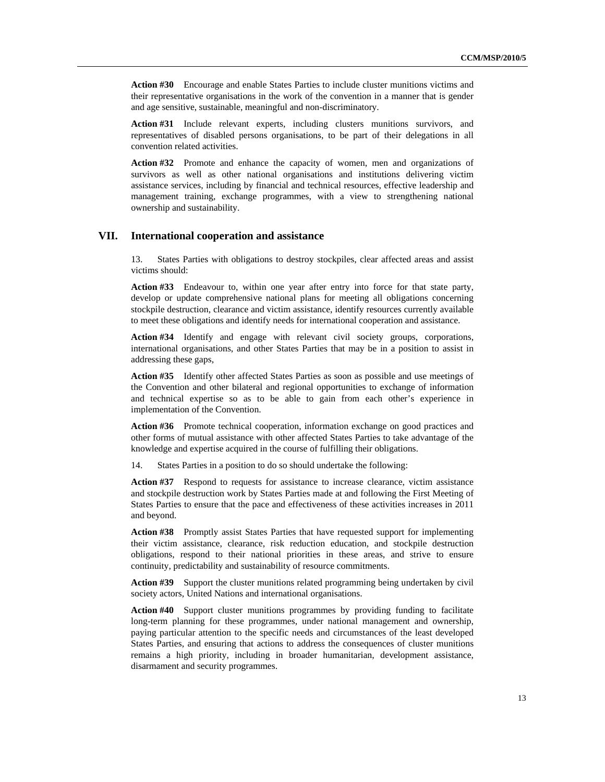**Action #30** Encourage and enable States Parties to include cluster munitions victims and their representative organisations in the work of the convention in a manner that is gender and age sensitive, sustainable, meaningful and non-discriminatory.

**Action #31** Include relevant experts, including clusters munitions survivors, and representatives of disabled persons organisations, to be part of their delegations in all convention related activities.

**Action #32** Promote and enhance the capacity of women, men and organizations of survivors as well as other national organisations and institutions delivering victim assistance services, including by financial and technical resources, effective leadership and management training, exchange programmes, with a view to strengthening national ownership and sustainability.

#### **VII. International cooperation and assistance**

13. States Parties with obligations to destroy stockpiles, clear affected areas and assist victims should:

**Action #33** Endeavour to, within one year after entry into force for that state party, develop or update comprehensive national plans for meeting all obligations concerning stockpile destruction, clearance and victim assistance, identify resources currently available to meet these obligations and identify needs for international cooperation and assistance.

**Action #34** Identify and engage with relevant civil society groups, corporations, international organisations, and other States Parties that may be in a position to assist in addressing these gaps,

**Action #35** Identify other affected States Parties as soon as possible and use meetings of the Convention and other bilateral and regional opportunities to exchange of information and technical expertise so as to be able to gain from each other's experience in implementation of the Convention.

**Action #36** Promote technical cooperation, information exchange on good practices and other forms of mutual assistance with other affected States Parties to take advantage of the knowledge and expertise acquired in the course of fulfilling their obligations.

14. States Parties in a position to do so should undertake the following:

Action #37 Respond to requests for assistance to increase clearance, victim assistance and stockpile destruction work by States Parties made at and following the First Meeting of States Parties to ensure that the pace and effectiveness of these activities increases in 2011 and beyond.

Action #38 Promptly assist States Parties that have requested support for implementing their victim assistance, clearance, risk reduction education, and stockpile destruction obligations, respond to their national priorities in these areas, and strive to ensure continuity, predictability and sustainability of resource commitments.

**Action #39** Support the cluster munitions related programming being undertaken by civil society actors, United Nations and international organisations.

**Action #40** Support cluster munitions programmes by providing funding to facilitate long-term planning for these programmes, under national management and ownership, paying particular attention to the specific needs and circumstances of the least developed States Parties, and ensuring that actions to address the consequences of cluster munitions remains a high priority, including in broader humanitarian, development assistance, disarmament and security programmes.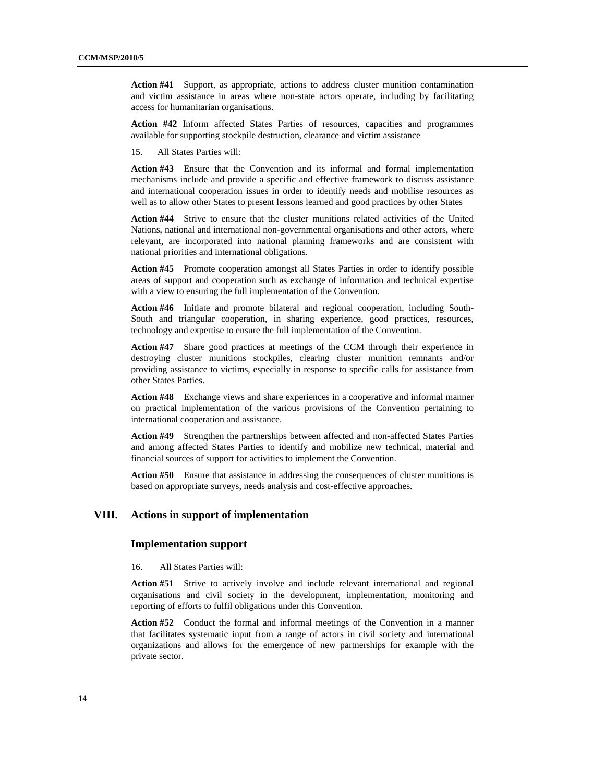**Action #41** Support, as appropriate, actions to address cluster munition contamination and victim assistance in areas where non-state actors operate, including by facilitating access for humanitarian organisations.

**Action #42** Inform affected States Parties of resources, capacities and programmes available for supporting stockpile destruction, clearance and victim assistance

15. All States Parties will:

**Action #43** Ensure that the Convention and its informal and formal implementation mechanisms include and provide a specific and effective framework to discuss assistance and international cooperation issues in order to identify needs and mobilise resources as well as to allow other States to present lessons learned and good practices by other States

**Action #44** Strive to ensure that the cluster munitions related activities of the United Nations, national and international non-governmental organisations and other actors, where relevant, are incorporated into national planning frameworks and are consistent with national priorities and international obligations.

**Action #45** Promote cooperation amongst all States Parties in order to identify possible areas of support and cooperation such as exchange of information and technical expertise with a view to ensuring the full implementation of the Convention.

**Action #46** Initiate and promote bilateral and regional cooperation, including South-South and triangular cooperation, in sharing experience, good practices, resources, technology and expertise to ensure the full implementation of the Convention.

**Action #47** Share good practices at meetings of the CCM through their experience in destroying cluster munitions stockpiles, clearing cluster munition remnants and/or providing assistance to victims, especially in response to specific calls for assistance from other States Parties.

**Action #48** Exchange views and share experiences in a cooperative and informal manner on practical implementation of the various provisions of the Convention pertaining to international cooperation and assistance.

**Action #49** Strengthen the partnerships between affected and non-affected States Parties and among affected States Parties to identify and mobilize new technical, material and financial sources of support for activities to implement the Convention.

Action #50 Ensure that assistance in addressing the consequences of cluster munitions is based on appropriate surveys, needs analysis and cost-effective approaches.

#### **VIII. Actions in support of implementation**

#### **Implementation support**

16. All States Parties will:

**Action #51** Strive to actively involve and include relevant international and regional organisations and civil society in the development, implementation, monitoring and reporting of efforts to fulfil obligations under this Convention.

**Action #52** Conduct the formal and informal meetings of the Convention in a manner that facilitates systematic input from a range of actors in civil society and international organizations and allows for the emergence of new partnerships for example with the private sector.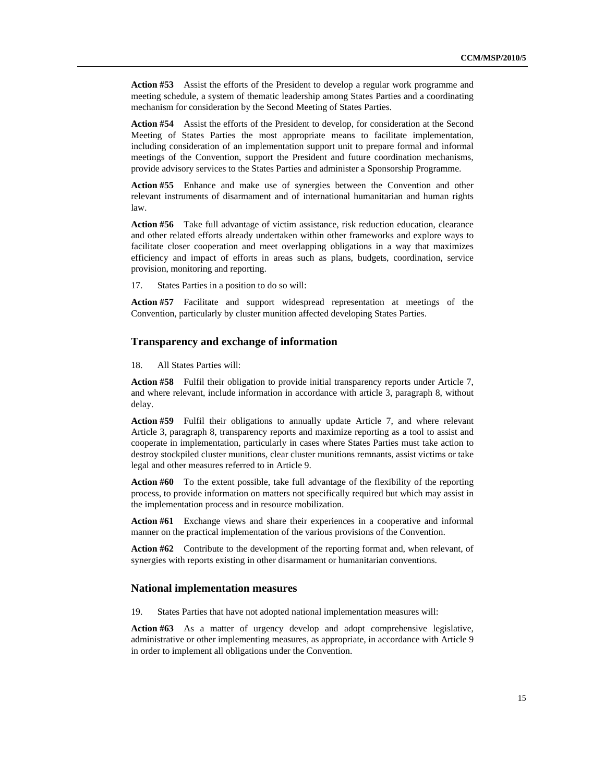**Action #53** Assist the efforts of the President to develop a regular work programme and meeting schedule, a system of thematic leadership among States Parties and a coordinating mechanism for consideration by the Second Meeting of States Parties.

**Action #54** Assist the efforts of the President to develop, for consideration at the Second Meeting of States Parties the most appropriate means to facilitate implementation, including consideration of an implementation support unit to prepare formal and informal meetings of the Convention, support the President and future coordination mechanisms, provide advisory services to the States Parties and administer a Sponsorship Programme.

**Action #55** Enhance and make use of synergies between the Convention and other relevant instruments of disarmament and of international humanitarian and human rights law.

Action #56 Take full advantage of victim assistance, risk reduction education, clearance and other related efforts already undertaken within other frameworks and explore ways to facilitate closer cooperation and meet overlapping obligations in a way that maximizes efficiency and impact of efforts in areas such as plans, budgets, coordination, service provision, monitoring and reporting.

17. States Parties in a position to do so will:

**Action #57** Facilitate and support widespread representation at meetings of the Convention, particularly by cluster munition affected developing States Parties.

#### **Transparency and exchange of information**

18. All States Parties will:

**Action #58** Fulfil their obligation to provide initial transparency reports under Article 7, and where relevant, include information in accordance with article 3, paragraph 8, without delay.

**Action #59** Fulfil their obligations to annually update Article 7, and where relevant Article 3, paragraph 8, transparency reports and maximize reporting as a tool to assist and cooperate in implementation, particularly in cases where States Parties must take action to destroy stockpiled cluster munitions, clear cluster munitions remnants, assist victims or take legal and other measures referred to in Article 9.

**Action #60** To the extent possible, take full advantage of the flexibility of the reporting process, to provide information on matters not specifically required but which may assist in the implementation process and in resource mobilization.

**Action #61** Exchange views and share their experiences in a cooperative and informal manner on the practical implementation of the various provisions of the Convention.

**Action #62** Contribute to the development of the reporting format and, when relevant, of synergies with reports existing in other disarmament or humanitarian conventions.

#### **National implementation measures**

19. States Parties that have not adopted national implementation measures will:

**Action #63** As a matter of urgency develop and adopt comprehensive legislative, administrative or other implementing measures, as appropriate, in accordance with Article 9 in order to implement all obligations under the Convention.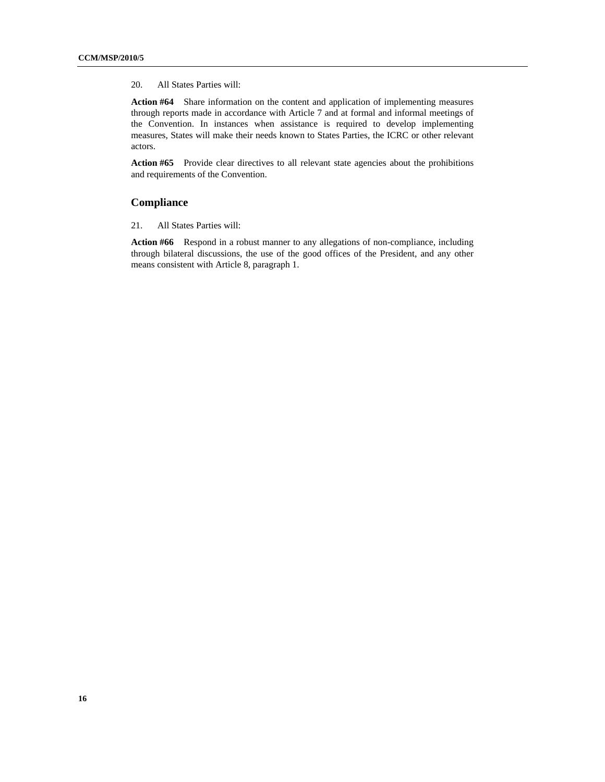20. All States Parties will:

**Action #64** Share information on the content and application of implementing measures through reports made in accordance with Article 7 and at formal and informal meetings of the Convention. In instances when assistance is required to develop implementing measures, States will make their needs known to States Parties, the ICRC or other relevant actors.

**Action #65** Provide clear directives to all relevant state agencies about the prohibitions and requirements of the Convention.

#### **Compliance**

21. All States Parties will:

**Action #66** Respond in a robust manner to any allegations of non-compliance, including through bilateral discussions, the use of the good offices of the President, and any other means consistent with Article 8, paragraph 1.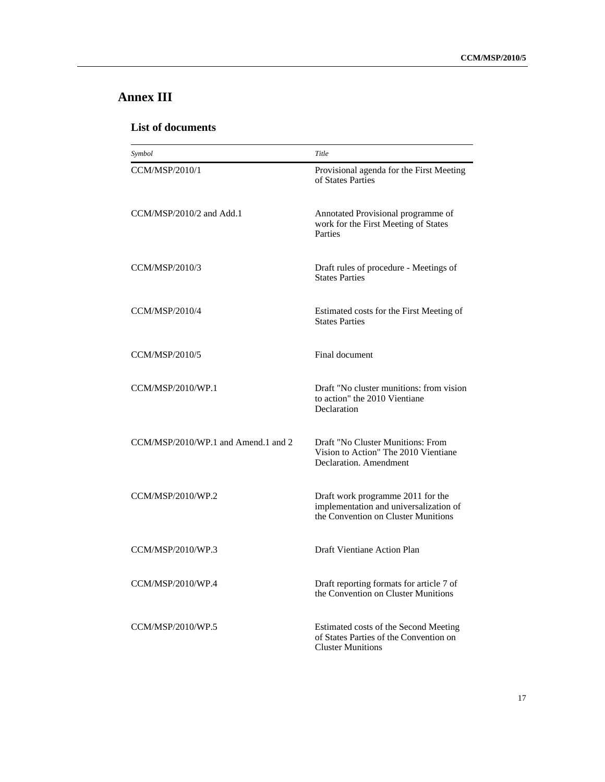# **Annex III**

## **List of documents**

| Symbol                              | Title                                                                                                              |
|-------------------------------------|--------------------------------------------------------------------------------------------------------------------|
| CCM/MSP/2010/1                      | Provisional agenda for the First Meeting<br>of States Parties                                                      |
| CCM/MSP/2010/2 and Add.1            | Annotated Provisional programme of<br>work for the First Meeting of States<br>Parties                              |
| CCM/MSP/2010/3                      | Draft rules of procedure - Meetings of<br><b>States Parties</b>                                                    |
| CCM/MSP/2010/4                      | Estimated costs for the First Meeting of<br><b>States Parties</b>                                                  |
| CCM/MSP/2010/5                      | Final document                                                                                                     |
| CCM/MSP/2010/WP.1                   | Draft "No cluster munitions: from vision<br>to action" the 2010 Vientiane<br>Declaration                           |
| CCM/MSP/2010/WP.1 and Amend.1 and 2 | Draft "No Cluster Munitions: From<br>Vision to Action" The 2010 Vientiane<br>Declaration. Amendment                |
| CCM/MSP/2010/WP.2                   | Draft work programme 2011 for the<br>implementation and universalization of<br>the Convention on Cluster Munitions |
| CCM/MSP/2010/WP.3                   | Draft Vientiane Action Plan                                                                                        |
| CCM/MSP/2010/WP.4                   | Draft reporting formats for article 7 of<br>the Convention on Cluster Munitions                                    |
| CCM/MSP/2010/WP.5                   | Estimated costs of the Second Meeting<br>of States Parties of the Convention on<br><b>Cluster Munitions</b>        |